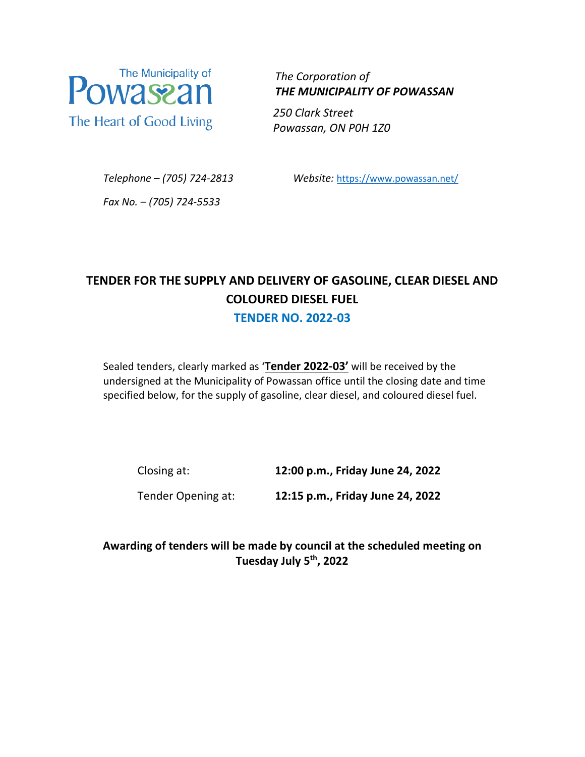

 *The Corporation of THE MUNICIPALITY OF POWASSAN*

 *250 Clark Street Powassan, ON P0H 1Z0*

*Telephone – (705) 724-2813 Website:* <https://www.powassan.net/>

*Fax No. – (705) 724-5533*

# **TENDER FOR THE SUPPLY AND DELIVERY OF GASOLINE, CLEAR DIESEL AND COLOURED DIESEL FUEL**

**TENDER NO. 2022-03**

Sealed tenders, clearly marked as '**Tender 2022-03'** will be received by the undersigned at the Municipality of Powassan office until the closing date and time specified below, for the supply of gasoline, clear diesel, and coloured diesel fuel.

Closing at: **12:00 p.m., Friday June 24, 2022**

Tender Opening at: **12:15 p.m., Friday June 24, 2022** 

**Awarding of tenders will be made by council at the scheduled meeting on Tuesday July 5th, 2022**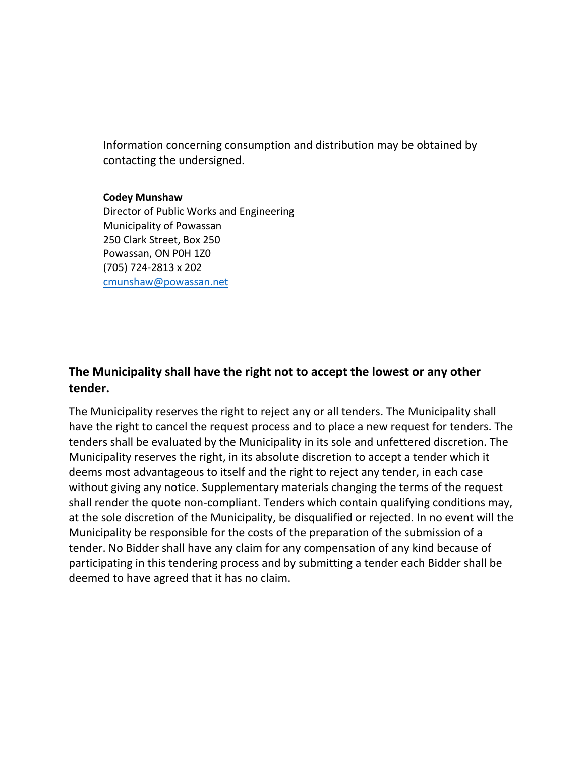Information concerning consumption and distribution may be obtained by contacting the undersigned.

#### **Codey Munshaw**

Director of Public Works and Engineering Municipality of Powassan 250 Clark Street, Box 250 Powassan, ON P0H 1Z0 (705) 724-2813 x 202 [cmunshaw@powassan.net](mailto:cmunshaw@powassan.net) 

### **The Municipality shall have the right not to accept the lowest or any other tender.**

The Municipality reserves the right to reject any or all tenders. The Municipality shall have the right to cancel the request process and to place a new request for tenders. The tenders shall be evaluated by the Municipality in its sole and unfettered discretion. The Municipality reserves the right, in its absolute discretion to accept a tender which it deems most advantageous to itself and the right to reject any tender, in each case without giving any notice. Supplementary materials changing the terms of the request shall render the quote non-compliant. Tenders which contain qualifying conditions may, at the sole discretion of the Municipality, be disqualified or rejected. In no event will the Municipality be responsible for the costs of the preparation of the submission of a tender. No Bidder shall have any claim for any compensation of any kind because of participating in this tendering process and by submitting a tender each Bidder shall be deemed to have agreed that it has no claim.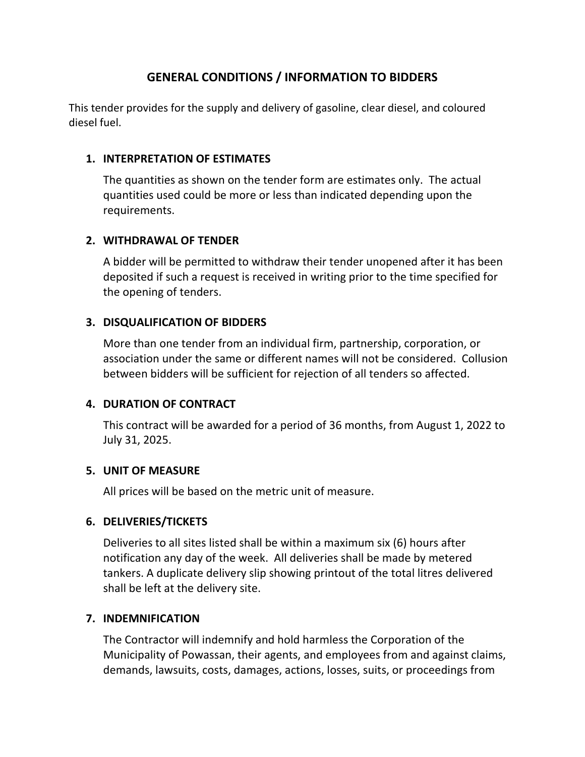### **GENERAL CONDITIONS / INFORMATION TO BIDDERS**

This tender provides for the supply and delivery of gasoline, clear diesel, and coloured diesel fuel.

### **1. INTERPRETATION OF ESTIMATES**

The quantities as shown on the tender form are estimates only. The actual quantities used could be more or less than indicated depending upon the requirements.

### **2. WITHDRAWAL OF TENDER**

A bidder will be permitted to withdraw their tender unopened after it has been deposited if such a request is received in writing prior to the time specified for the opening of tenders.

### **3. DISQUALIFICATION OF BIDDERS**

More than one tender from an individual firm, partnership, corporation, or association under the same or different names will not be considered. Collusion between bidders will be sufficient for rejection of all tenders so affected.

### **4. DURATION OF CONTRACT**

This contract will be awarded for a period of 36 months, from August 1, 2022 to July 31, 2025.

### **5. UNIT OF MEASURE**

All prices will be based on the metric unit of measure.

### **6. DELIVERIES/TICKETS**

Deliveries to all sites listed shall be within a maximum six (6) hours after notification any day of the week. All deliveries shall be made by metered tankers. A duplicate delivery slip showing printout of the total litres delivered shall be left at the delivery site.

### **7. INDEMNIFICATION**

The Contractor will indemnify and hold harmless the Corporation of the Municipality of Powassan, their agents, and employees from and against claims, demands, lawsuits, costs, damages, actions, losses, suits, or proceedings from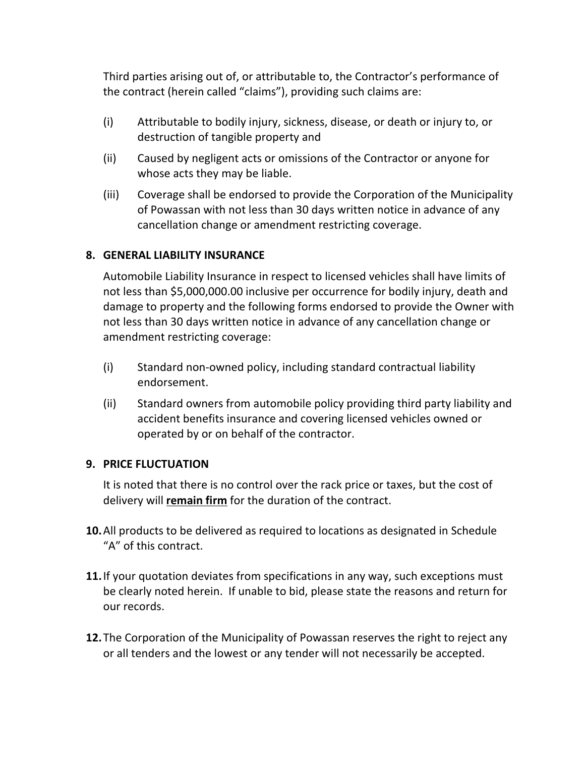Third parties arising out of, or attributable to, the Contractor's performance of the contract (herein called "claims"), providing such claims are:

- (i) Attributable to bodily injury, sickness, disease, or death or injury to, or destruction of tangible property and
- (ii) Caused by negligent acts or omissions of the Contractor or anyone for whose acts they may be liable.
- (iii) Coverage shall be endorsed to provide the Corporation of the Municipality of Powassan with not less than 30 days written notice in advance of any cancellation change or amendment restricting coverage.

### **8. GENERAL LIABILITY INSURANCE**

Automobile Liability Insurance in respect to licensed vehicles shall have limits of not less than \$5,000,000.00 inclusive per occurrence for bodily injury, death and damage to property and the following forms endorsed to provide the Owner with not less than 30 days written notice in advance of any cancellation change or amendment restricting coverage:

- (i) Standard non-owned policy, including standard contractual liability endorsement.
- (ii) Standard owners from automobile policy providing third party liability and accident benefits insurance and covering licensed vehicles owned or operated by or on behalf of the contractor.

### **9. PRICE FLUCTUATION**

It is noted that there is no control over the rack price or taxes, but the cost of delivery will **remain firm** for the duration of the contract.

- **10.**All products to be delivered as required to locations as designated in Schedule "A" of this contract.
- **11.**If your quotation deviates from specifications in any way, such exceptions must be clearly noted herein. If unable to bid, please state the reasons and return for our records.
- **12.**The Corporation of the Municipality of Powassan reserves the right to reject any or all tenders and the lowest or any tender will not necessarily be accepted.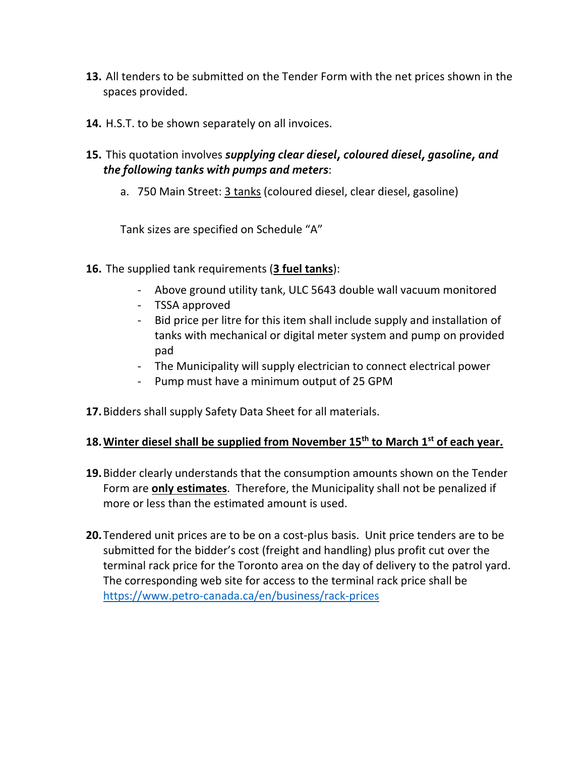- **13.** All tenders to be submitted on the Tender Form with the net prices shown in the spaces provided.
- **14.** H.S.T. to be shown separately on all invoices.
- **15.** This quotation involves *supplying clear diesel, coloured diesel, gasoline, and the following tanks with pumps and meters*:
	- a. 750 Main Street: 3 tanks (coloured diesel, clear diesel, gasoline)

Tank sizes are specified on Schedule "A"

- **16.** The supplied tank requirements (**3 fuel tanks**):
	- Above ground utility tank, ULC 5643 double wall vacuum monitored
	- TSSA approved
	- Bid price per litre for this item shall include supply and installation of tanks with mechanical or digital meter system and pump on provided pad
	- The Municipality will supply electrician to connect electrical power
	- Pump must have a minimum output of 25 GPM
- **17.**Bidders shall supply Safety Data Sheet for all materials.

### **18.Winter diesel shall be supplied from November 15th to March 1st of each year.**

- **19.**Bidder clearly understands that the consumption amounts shown on the Tender Form are **only estimates**. Therefore, the Municipality shall not be penalized if more or less than the estimated amount is used.
- **20.**Tendered unit prices are to be on a cost-plus basis. Unit price tenders are to be submitted for the bidder's cost (freight and handling) plus profit cut over the terminal rack price for the Toronto area on the day of delivery to the patrol yard. The corresponding web site for access to the terminal rack price shall be <https://www.petro-canada.ca/en/business/rack-prices>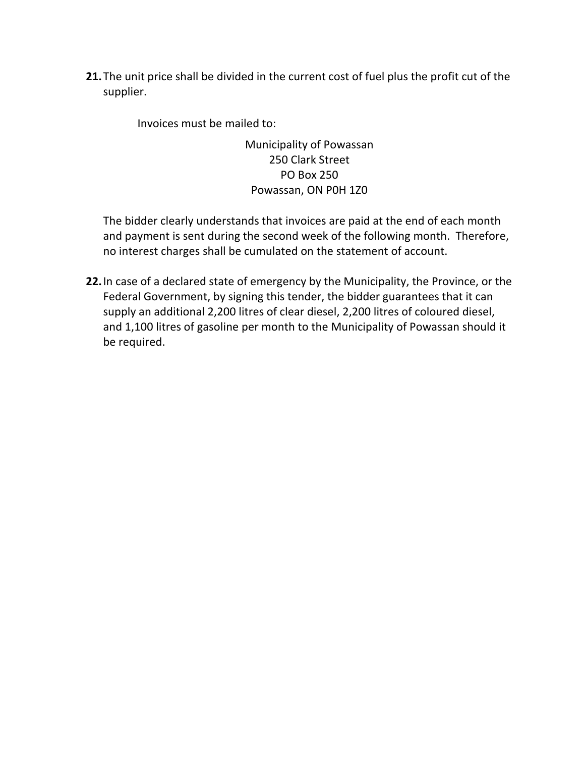**21.**The unit price shall be divided in the current cost of fuel plus the profit cut of the supplier.

Invoices must be mailed to:

Municipality of Powassan 250 Clark Street PO Box 250 Powassan, ON P0H 1Z0

The bidder clearly understands that invoices are paid at the end of each month and payment is sent during the second week of the following month. Therefore, no interest charges shall be cumulated on the statement of account.

**22.**In case of a declared state of emergency by the Municipality, the Province, or the Federal Government, by signing this tender, the bidder guarantees that it can supply an additional 2,200 litres of clear diesel, 2,200 litres of coloured diesel, and 1,100 litres of gasoline per month to the Municipality of Powassan should it be required.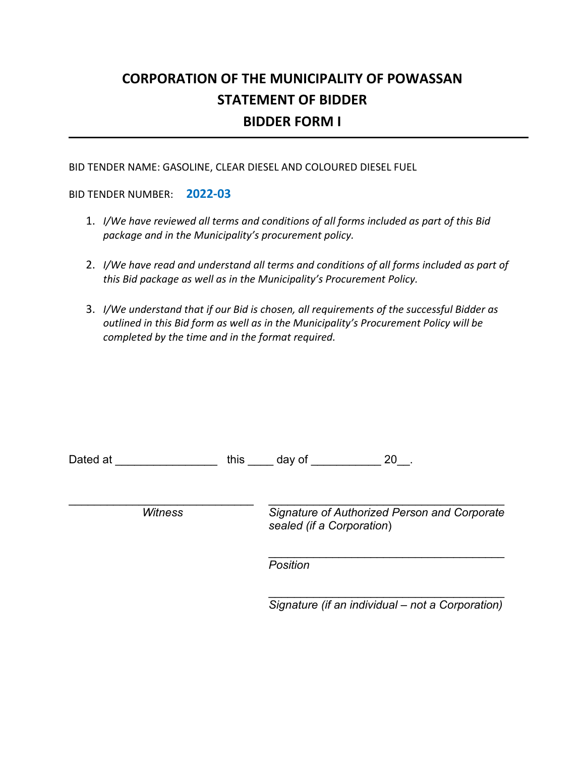# **CORPORATION OF THE MUNICIPALITY OF POWASSAN STATEMENT OF BIDDER BIDDER FORM I**

BID TENDER NAME: GASOLINE, CLEAR DIESEL AND COLOURED DIESEL FUEL

BID TENDER NUMBER: **2022-03**

- 1. *I/We have reviewed all terms and conditions of all forms included as part of this Bid package and in the Municipality's procurement policy.*
- 2. *I/We have read and understand all terms and conditions of all forms included as part of this Bid package as well as in the Municipality's Procurement Policy.*
- 3. *I/We understand that if our Bid is chosen, all requirements of the successful Bidder as outlined in this Bid form as well as in the Municipality's Procurement Policy will be completed by the time and in the format required.*

| Dated at       | this | 20<br>day of                                                              |
|----------------|------|---------------------------------------------------------------------------|
| <b>Witness</b> |      | Signature of Authorized Person and Corporate<br>sealed (if a Corporation) |
|                |      | Position                                                                  |

\_\_\_\_\_\_\_\_\_\_\_\_\_\_\_\_\_\_\_\_\_\_\_\_\_\_\_\_\_\_\_\_\_\_\_\_\_ *Signature (if an individual – not a Corporation)*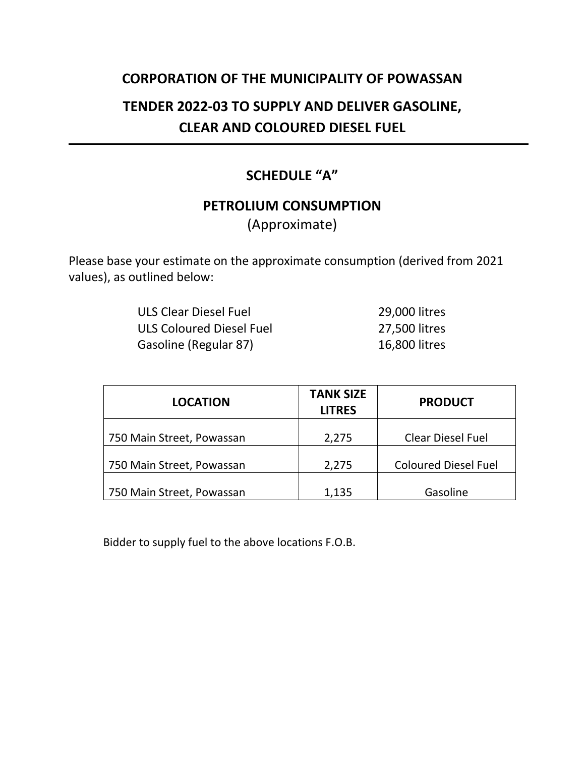## **CORPORATION OF THE MUNICIPALITY OF POWASSAN**

# **TENDER 2022-03 TO SUPPLY AND DELIVER GASOLINE, CLEAR AND COLOURED DIESEL FUEL**

# **SCHEDULE "A"**

# **PETROLIUM CONSUMPTION**

(Approximate)

Please base your estimate on the approximate consumption (derived from 2021 values), as outlined below:

| ULS Clear Diesel Fuel    | 29,000 litres |
|--------------------------|---------------|
| ULS Coloured Diesel Fuel | 27,500 litres |
| Gasoline (Regular 87)    | 16,800 litres |

| <b>LOCATION</b>           | <b>TANK SIZE</b><br><b>LITRES</b> | <b>PRODUCT</b>              |
|---------------------------|-----------------------------------|-----------------------------|
| 750 Main Street, Powassan | 2,275                             | <b>Clear Diesel Fuel</b>    |
| 750 Main Street, Powassan | 2,275                             | <b>Coloured Diesel Fuel</b> |
| 750 Main Street, Powassan | 1,135                             | Gasoline                    |

Bidder to supply fuel to the above locations F.O.B.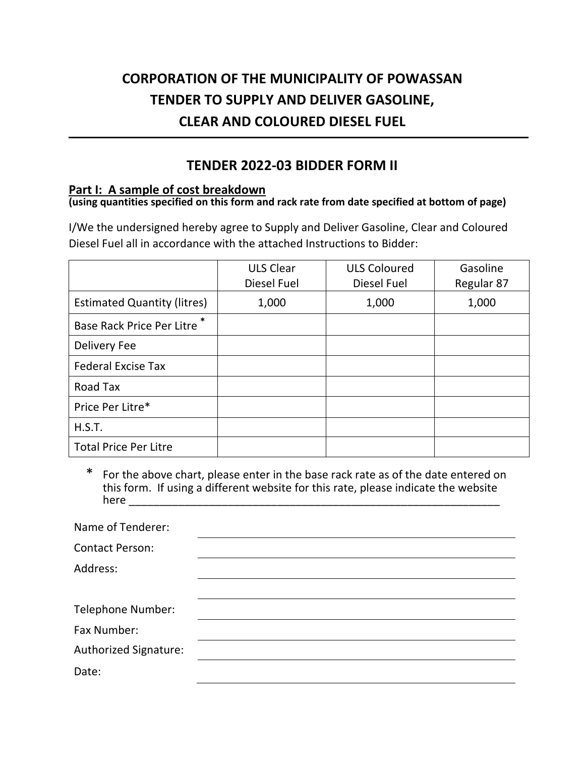# **CORPORATION OF THE MUNICIPALITY OF POWASSAN TENDER TO SUPPLY AND DELIVER GASOLINE, CLEAR AND COLOURED DIESEL FUEL**

## **TENDER 2022-03 BIDDER FORM II**

### **Part I: A sample of cost breakdown**

# **(using quantities specified on this form and rack rate from date specified at bottom of page)**

I/We the undersigned hereby agree to Supply and Deliver Gasoline, Clear and Coloured Diesel Fuel all in accordance with the attached Instructions to Bidder:

|                                    | <b>ULS Clear</b> | <b>ULS Coloured</b> | Gasoline   |
|------------------------------------|------------------|---------------------|------------|
|                                    | Diesel Fuel      | Diesel Fuel         | Regular 87 |
| <b>Estimated Quantity (litres)</b> | 1,000            | 1,000               | 1,000      |
| Base Rack Price Per Litre          |                  |                     |            |
| Delivery Fee                       |                  |                     |            |
| <b>Federal Excise Tax</b>          |                  |                     |            |
| Road Tax                           |                  |                     |            |
| Price Per Litre*                   |                  |                     |            |
| H.S.T.                             |                  |                     |            |
| <b>Total Price Per Litre</b>       |                  |                     |            |

\* For the above chart, please enter in the base rack rate as of the date entered on this form. If using a different website for this rate, please indicate the website here **we are all** 

| Name of Tenderer:        |  |
|--------------------------|--|
| <b>Contact Person:</b>   |  |
| Address:                 |  |
|                          |  |
| <b>Telephone Number:</b> |  |
| Fax Number:              |  |
| Authorized Signature:    |  |
| Date:                    |  |